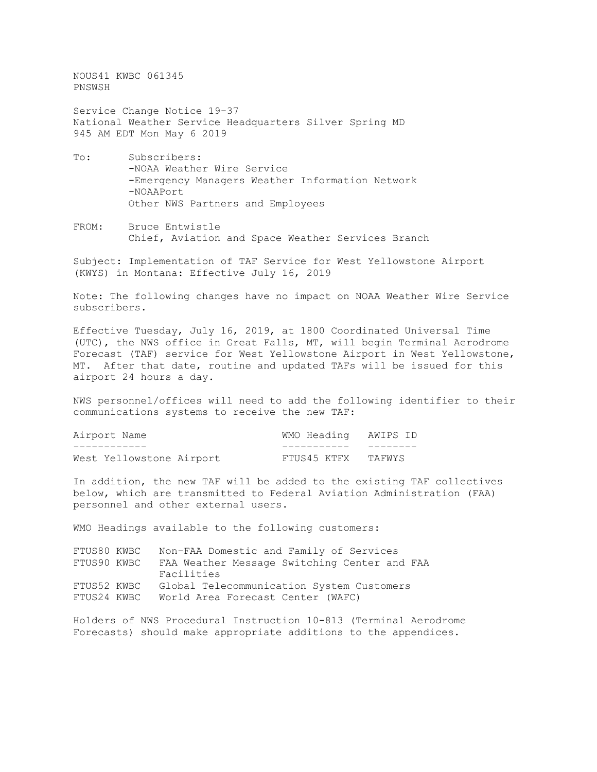NOUS41 KWBC 061345 PNSWSH

Service Change Notice 19-37 National Weather Service Headquarters Silver Spring MD 945 AM EDT Mon May 6 2019

- To: Subscribers: -NOAA Weather Wire Service -Emergency Managers Weather Information Network -NOAAPort Other NWS Partners and Employees
- FROM: Bruce Entwistle Chief, Aviation and Space Weather Services Branch

Subject: Implementation of TAF Service for West Yellowstone Airport (KWYS) in Montana: Effective July 16, 2019

Note: The following changes have no impact on NOAA Weather Wire Service subscribers.

Effective Tuesday, July 16, 2019, at 1800 Coordinated Universal Time (UTC), the NWS office in Great Falls, MT, will begin Terminal Aerodrome Forecast (TAF) service for West Yellowstone Airport in West Yellowstone, MT. After that date, routine and updated TAFs will be issued for this airport 24 hours a day.

NWS personnel/offices will need to add the following identifier to their communications systems to receive the new TAF:

| Airport Name             | WMO Heading AWIPS ID |  |
|--------------------------|----------------------|--|
|                          |                      |  |
| West Yellowstone Airport | FTUS45 KTFX TAFWYS   |  |

In addition, the new TAF will be added to the existing TAF collectives below, which are transmitted to Federal Aviation Administration (FAA) personnel and other external users.

WMO Headings available to the following customers:

| FTUS80 KWBC | Non-FAA Domestic and Family of Services      |
|-------------|----------------------------------------------|
| FTUS90 KWBC | FAA Weather Message Switching Center and FAA |
|             | Facilities                                   |
| FTUS52 KWBC | Global Telecommunication System Customers    |
| FTUS24 KWBC | World Area Forecast Center (WAFC)            |

Holders of NWS Procedural Instruction 10-813 (Terminal Aerodrome Forecasts) should make appropriate additions to the appendices.